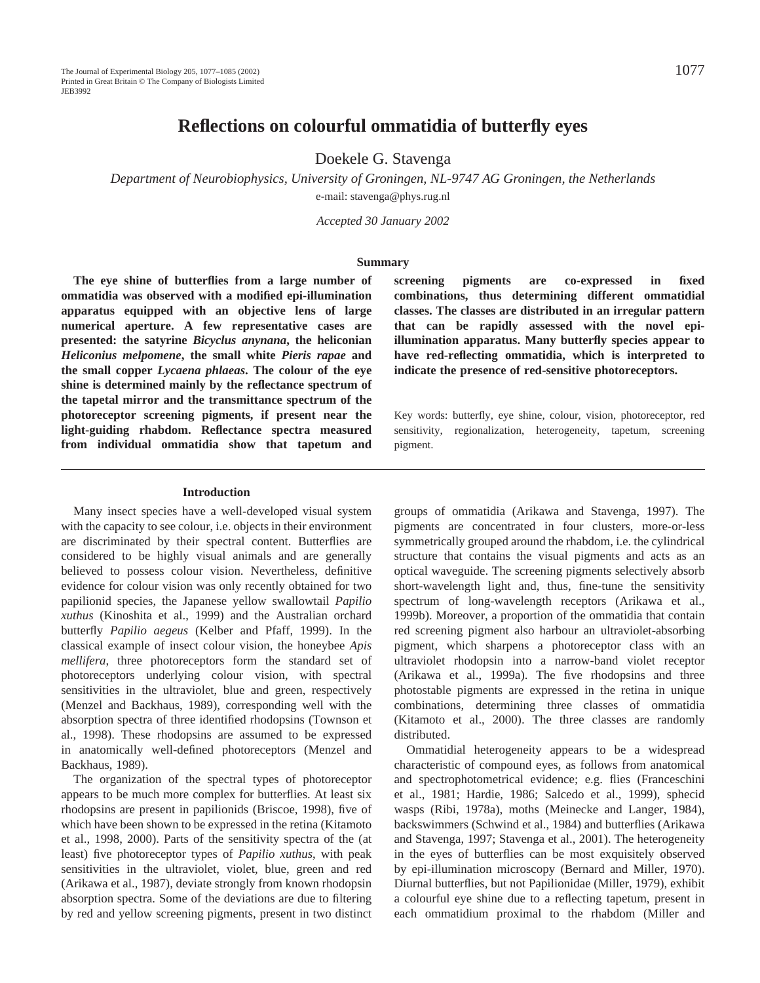# **Reflections on colourful ommatidia of butterfly eyes**

Doekele G. Stavenga

*Department of Neurobiophysics, University of Groningen, NL-9747 AG Groningen, the Netherlands* e-mail: stavenga@phys.rug.nl

*Accepted 30 January 2002*

#### **Summary**

**The eye shine of butterflies from a large number of ommatidia was observed with a modified epi-illumination apparatus equipped with an objective lens of large numerical aperture. A few representative cases are presented: the satyrine** *Bicyclus anynana***, the heliconian** *Heliconius melpomene***, the small white** *Pieris rapae* **and the small copper** *Lycaena phlaeas***. The colour of the eye shine is determined mainly by the reflectance spectrum of the tapetal mirror and the transmittance spectrum of the photoreceptor screening pigments, if present near the light-guiding rhabdom. Reflectance spectra measured from individual ommatidia show that tapetum and**

#### **Introduction**

Many insect species have a well-developed visual system with the capacity to see colour, i.e. objects in their environment are discriminated by their spectral content. Butterflies are considered to be highly visual animals and are generally believed to possess colour vision. Nevertheless, definitive evidence for colour vision was only recently obtained for two papilionid species, the Japanese yellow swallowtail *Papilio xuthus* (Kinoshita et al., 1999) and the Australian orchard butterfly *Papilio aegeus* (Kelber and Pfaff, 1999). In the classical example of insect colour vision, the honeybee *Apis mellifera*, three photoreceptors form the standard set of photoreceptors underlying colour vision, with spectral sensitivities in the ultraviolet, blue and green, respectively (Menzel and Backhaus, 1989), corresponding well with the absorption spectra of three identified rhodopsins (Townson et al., 1998). These rhodopsins are assumed to be expressed in anatomically well-defined photoreceptors (Menzel and Backhaus, 1989).

The organization of the spectral types of photoreceptor appears to be much more complex for butterflies. At least six rhodopsins are present in papilionids (Briscoe, 1998), five of which have been shown to be expressed in the retina (Kitamoto et al., 1998, 2000). Parts of the sensitivity spectra of the (at least) five photoreceptor types of *Papilio xuthus*, with peak sensitivities in the ultraviolet, violet, blue, green and red (Arikawa et al., 1987), deviate strongly from known rhodopsin absorption spectra. Some of the deviations are due to filtering by red and yellow screening pigments, present in two distinct

**screening pigments are co-expressed in fixed combinations, thus determining different ommatidial classes. The classes are distributed in an irregular pattern that can be rapidly assessed with the novel epiillumination apparatus. Many butterfly species appear to have red-reflecting ommatidia, which is interpreted to indicate the presence of red-sensitive photoreceptors.**

Key words: butterfly, eye shine, colour, vision, photoreceptor, red sensitivity, regionalization, heterogeneity, tapetum, screening pigment.

groups of ommatidia (Arikawa and Stavenga, 1997). The pigments are concentrated in four clusters, more-or-less symmetrically grouped around the rhabdom, i.e. the cylindrical structure that contains the visual pigments and acts as an optical waveguide. The screening pigments selectively absorb short-wavelength light and, thus, fine-tune the sensitivity spectrum of long-wavelength receptors (Arikawa et al., 1999b). Moreover, a proportion of the ommatidia that contain red screening pigment also harbour an ultraviolet-absorbing pigment, which sharpens a photoreceptor class with an ultraviolet rhodopsin into a narrow-band violet receptor (Arikawa et al., 1999a). The five rhodopsins and three photostable pigments are expressed in the retina in unique combinations, determining three classes of ommatidia (Kitamoto et al., 2000). The three classes are randomly distributed.

Ommatidial heterogeneity appears to be a widespread characteristic of compound eyes, as follows from anatomical and spectrophotometrical evidence; e.g. flies (Franceschini et al., 1981; Hardie, 1986; Salcedo et al., 1999), sphecid wasps (Ribi, 1978a), moths (Meinecke and Langer, 1984), backswimmers (Schwind et al., 1984) and butterflies (Arikawa and Stavenga, 1997; Stavenga et al., 2001). The heterogeneity in the eyes of butterflies can be most exquisitely observed by epi-illumination microscopy (Bernard and Miller, 1970). Diurnal butterflies, but not Papilionidae (Miller, 1979), exhibit a colourful eye shine due to a reflecting tapetum, present in each ommatidium proximal to the rhabdom (Miller and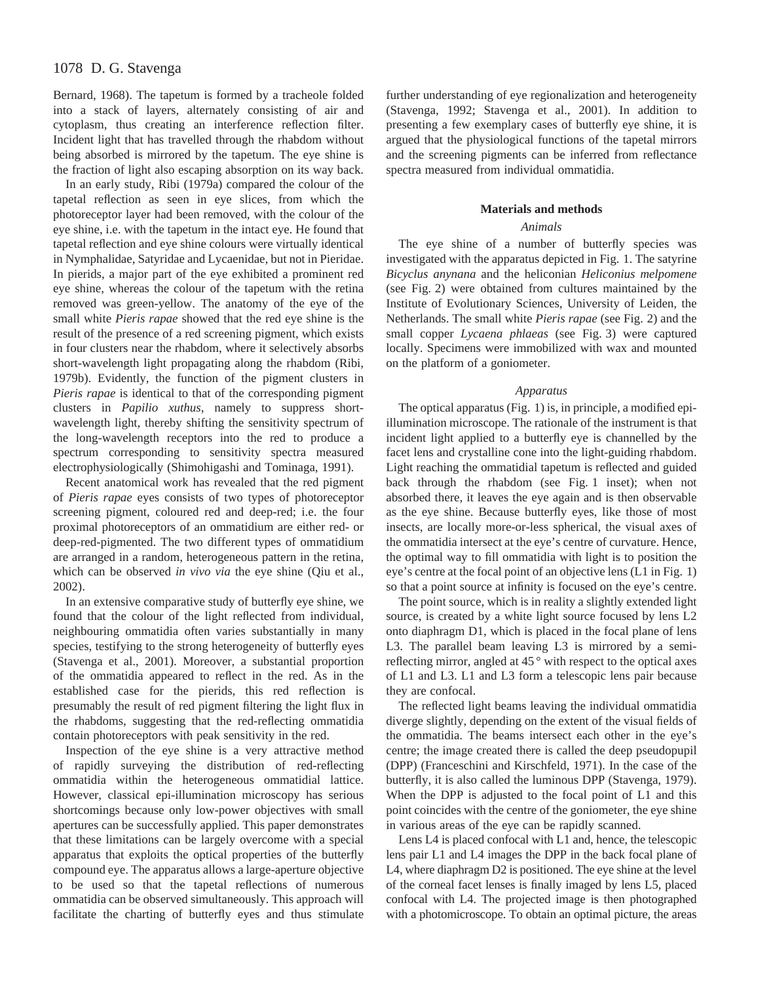Bernard, 1968). The tapetum is formed by a tracheole folded into a stack of layers, alternately consisting of air and cytoplasm, thus creating an interference reflection filter. Incident light that has travelled through the rhabdom without being absorbed is mirrored by the tapetum. The eye shine is the fraction of light also escaping absorption on its way back.

In an early study, Ribi (1979a) compared the colour of the tapetal reflection as seen in eye slices, from which the photoreceptor layer had been removed, with the colour of the eye shine, i.e. with the tapetum in the intact eye. He found that tapetal reflection and eye shine colours were virtually identical in Nymphalidae, Satyridae and Lycaenidae, but not in Pieridae. In pierids, a major part of the eye exhibited a prominent red eye shine, whereas the colour of the tapetum with the retina removed was green-yellow. The anatomy of the eye of the small white *Pieris rapae* showed that the red eye shine is the result of the presence of a red screening pigment, which exists in four clusters near the rhabdom, where it selectively absorbs short-wavelength light propagating along the rhabdom (Ribi, 1979b). Evidently, the function of the pigment clusters in *Pieris rapae* is identical to that of the corresponding pigment clusters in *Papilio xuthus*, namely to suppress shortwavelength light, thereby shifting the sensitivity spectrum of the long-wavelength receptors into the red to produce a spectrum corresponding to sensitivity spectra measured electrophysiologically (Shimohigashi and Tominaga, 1991).

Recent anatomical work has revealed that the red pigment of *Pieris rapae* eyes consists of two types of photoreceptor screening pigment, coloured red and deep-red; i.e. the four proximal photoreceptors of an ommatidium are either red- or deep-red-pigmented. The two different types of ommatidium are arranged in a random, heterogeneous pattern in the retina, which can be observed *in vivo via* the eye shine (Qiu et al., 2002).

In an extensive comparative study of butterfly eye shine, we found that the colour of the light reflected from individual, neighbouring ommatidia often varies substantially in many species, testifying to the strong heterogeneity of butterfly eyes (Stavenga et al., 2001). Moreover, a substantial proportion of the ommatidia appeared to reflect in the red. As in the established case for the pierids, this red reflection is presumably the result of red pigment filtering the light flux in the rhabdoms, suggesting that the red-reflecting ommatidia contain photoreceptors with peak sensitivity in the red.

Inspection of the eye shine is a very attractive method of rapidly surveying the distribution of red-reflecting ommatidia within the heterogeneous ommatidial lattice. However, classical epi-illumination microscopy has serious shortcomings because only low-power objectives with small apertures can be successfully applied. This paper demonstrates that these limitations can be largely overcome with a special apparatus that exploits the optical properties of the butterfly compound eye. The apparatus allows a large-aperture objective to be used so that the tapetal reflections of numerous ommatidia can be observed simultaneously. This approach will facilitate the charting of butterfly eyes and thus stimulate further understanding of eye regionalization and heterogeneity (Stavenga, 1992; Stavenga et al., 2001). In addition to presenting a few exemplary cases of butterfly eye shine, it is argued that the physiological functions of the tapetal mirrors and the screening pigments can be inferred from reflectance spectra measured from individual ommatidia.

#### **Materials and methods**

## *Animals*

The eye shine of a number of butterfly species was investigated with the apparatus depicted in Fig. 1. The satyrine *Bicyclus anynana* and the heliconian *Heliconius melpomene* (see Fig. 2) were obtained from cultures maintained by the Institute of Evolutionary Sciences, University of Leiden, the Netherlands. The small white *Pieris rapae* (see Fig. 2) and the small copper *Lycaena phlaeas* (see Fig. 3) were captured locally. Specimens were immobilized with wax and mounted on the platform of a goniometer.

#### *Apparatus*

The optical apparatus (Fig. 1) is, in principle, a modified epiillumination microscope. The rationale of the instrument is that incident light applied to a butterfly eye is channelled by the facet lens and crystalline cone into the light-guiding rhabdom. Light reaching the ommatidial tapetum is reflected and guided back through the rhabdom (see Fig. 1 inset); when not absorbed there, it leaves the eye again and is then observable as the eye shine. Because butterfly eyes, like those of most insects, are locally more-or-less spherical, the visual axes of the ommatidia intersect at the eye's centre of curvature. Hence, the optimal way to fill ommatidia with light is to position the eye's centre at the focal point of an objective lens (L1 in Fig. 1) so that a point source at infinity is focused on the eye's centre.

The point source, which is in reality a slightly extended light source, is created by a white light source focused by lens L2 onto diaphragm D1, which is placed in the focal plane of lens L3. The parallel beam leaving L3 is mirrored by a semireflecting mirror, angled at 45 ° with respect to the optical axes of L1 and L3. L1 and L3 form a telescopic lens pair because they are confocal.

The reflected light beams leaving the individual ommatidia diverge slightly, depending on the extent of the visual fields of the ommatidia. The beams intersect each other in the eye's centre; the image created there is called the deep pseudopupil (DPP) (Franceschini and Kirschfeld, 1971). In the case of the butterfly, it is also called the luminous DPP (Stavenga, 1979). When the DPP is adjusted to the focal point of L1 and this point coincides with the centre of the goniometer, the eye shine in various areas of the eye can be rapidly scanned.

Lens L4 is placed confocal with L1 and, hence, the telescopic lens pair L1 and L4 images the DPP in the back focal plane of L4, where diaphragm D2 is positioned. The eye shine at the level of the corneal facet lenses is finally imaged by lens L5, placed confocal with L4. The projected image is then photographed with a photomicroscope. To obtain an optimal picture, the areas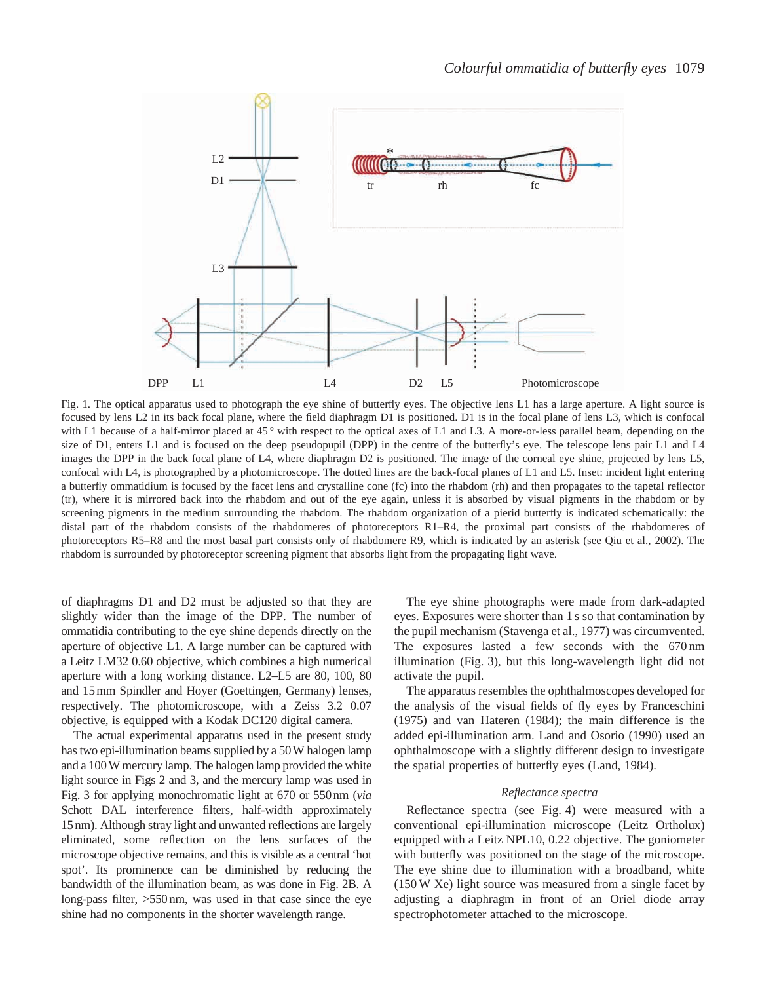

Fig. 1. The optical apparatus used to photograph the eye shine of butterfly eyes. The objective lens L1 has a large aperture. A light source is focused by lens L2 in its back focal plane, where the field diaphragm D1 is positioned. D1 is in the focal plane of lens L3, which is confocal with L1 because of a half-mirror placed at 45° with respect to the optical axes of L1 and L3. A more-or-less parallel beam, depending on the size of D1, enters L1 and is focused on the deep pseudopupil (DPP) in the centre of the butterfly's eye. The telescope lens pair L1 and L4 images the DPP in the back focal plane of L4, where diaphragm D2 is positioned. The image of the corneal eye shine, projected by lens L5, confocal with L4, is photographed by a photomicroscope. The dotted lines are the back-focal planes of L1 and L5. Inset: incident light entering a butterfly ommatidium is focused by the facet lens and crystalline cone (fc) into the rhabdom (rh) and then propagates to the tapetal reflector (tr), where it is mirrored back into the rhabdom and out of the eye again, unless it is absorbed by visual pigments in the rhabdom or by screening pigments in the medium surrounding the rhabdom. The rhabdom organization of a pierid butterfly is indicated schematically: the distal part of the rhabdom consists of the rhabdomeres of photoreceptors R1–R4, the proximal part consists of the rhabdomeres of photoreceptors R5–R8 and the most basal part consists only of rhabdomere R9, which is indicated by an asterisk (see Qiu et al., 2002). The rhabdom is surrounded by photoreceptor screening pigment that absorbs light from the propagating light wave.

of diaphragms D1 and D2 must be adjusted so that they are slightly wider than the image of the DPP. The number of ommatidia contributing to the eye shine depends directly on the aperture of objective L1. A large number can be captured with a Leitz LM32 0.60 objective, which combines a high numerical aperture with a long working distance. L2–L5 are 80, 100, 80 and 15 mm Spindler and Hoyer (Goettingen, Germany) lenses, respectively. The photomicroscope, with a Zeiss 3.2 0.07 objective, is equipped with a Kodak DC120 digital camera.

The actual experimental apparatus used in the present study has two epi-illumination beams supplied by a 50 W halogen lamp and a 100 W mercury lamp. The halogen lamp provided the white light source in Figs 2 and 3, and the mercury lamp was used in Fig. 3 for applying monochromatic light at 670 or 550 nm (*via* Schott DAL interference filters, half-width approximately 15 nm). Although stray light and unwanted reflections are largely eliminated, some reflection on the lens surfaces of the microscope objective remains, and this is visible as a central 'hot spot'. Its prominence can be diminished by reducing the bandwidth of the illumination beam, as was done in Fig. 2B. A long-pass filter, >550 nm, was used in that case since the eye shine had no components in the shorter wavelength range.

The eye shine photographs were made from dark-adapted eyes. Exposures were shorter than 1 s so that contamination by the pupil mechanism (Stavenga et al., 1977) was circumvented. The exposures lasted a few seconds with the 670 nm illumination (Fig. 3), but this long-wavelength light did not activate the pupil.

The apparatus resembles the ophthalmoscopes developed for the analysis of the visual fields of fly eyes by Franceschini (1975) and van Hateren (1984); the main difference is the added epi-illumination arm. Land and Osorio (1990) used an ophthalmoscope with a slightly different design to investigate the spatial properties of butterfly eyes (Land, 1984).

#### *Reflectance spectra*

Reflectance spectra (see Fig. 4) were measured with a conventional epi-illumination microscope (Leitz Ortholux) equipped with a Leitz NPL10, 0.22 objective. The goniometer with butterfly was positioned on the stage of the microscope. The eye shine due to illumination with a broadband, white (150 W Xe) light source was measured from a single facet by adjusting a diaphragm in front of an Oriel diode array spectrophotometer attached to the microscope.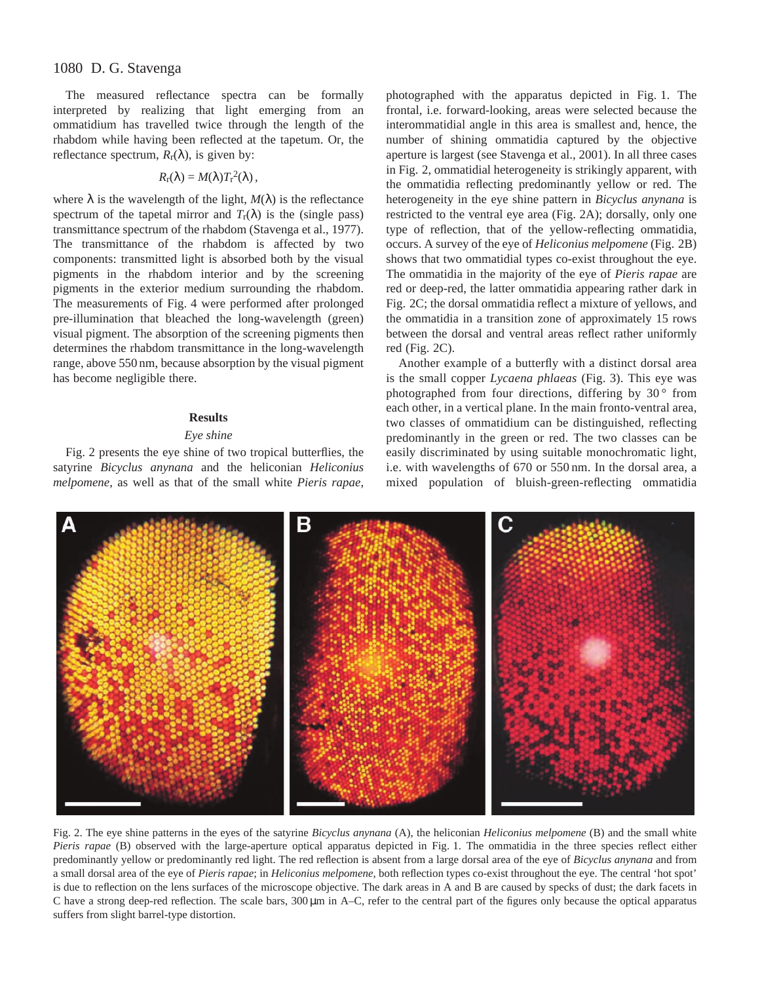## 1080 D. G. Stavenga

The measured reflectance spectra can be formally interpreted by realizing that light emerging from an ommatidium has travelled twice through the length of the rhabdom while having been reflected at the tapetum. Or, the reflectance spectrum,  $R_r(\lambda)$ , is given by:

$$
R_{\rm r}(\lambda)=M(\lambda)T_{\rm r}^2(\lambda)\,,
$$

where  $\lambda$  is the wavelength of the light,  $M(\lambda)$  is the reflectance spectrum of the tapetal mirror and  $T_r(\lambda)$  is the (single pass) transmittance spectrum of the rhabdom (Stavenga et al., 1977). The transmittance of the rhabdom is affected by two components: transmitted light is absorbed both by the visual pigments in the rhabdom interior and by the screening pigments in the exterior medium surrounding the rhabdom. The measurements of Fig. 4 were performed after prolonged pre-illumination that bleached the long-wavelength (green) visual pigment. The absorption of the screening pigments then determines the rhabdom transmittance in the long-wavelength range, above 550 nm, because absorption by the visual pigment has become negligible there.

### **Results**

## *Eye shine*

Fig. 2 presents the eye shine of two tropical butterflies, the satyrine *Bicyclus anynana* and the heliconian *Heliconius melpomene*, as well as that of the small white *Pieris rapae*,

photographed with the apparatus depicted in Fig. 1. The frontal, i.e. forward-looking, areas were selected because the interommatidial angle in this area is smallest and, hence, the number of shining ommatidia captured by the objective aperture is largest (see Stavenga et al., 2001). In all three cases in Fig. 2, ommatidial heterogeneity is strikingly apparent, with the ommatidia reflecting predominantly yellow or red. The heterogeneity in the eye shine pattern in *Bicyclus anynana* is restricted to the ventral eye area (Fig. 2A); dorsally, only one type of reflection, that of the yellow-reflecting ommatidia, occurs. A survey of the eye of *Heliconius melpomene* (Fig. 2B) shows that two ommatidial types co-exist throughout the eye. The ommatidia in the majority of the eye of *Pieris rapae* are red or deep-red, the latter ommatidia appearing rather dark in Fig. 2C; the dorsal ommatidia reflect a mixture of yellows, and the ommatidia in a transition zone of approximately 15 rows between the dorsal and ventral areas reflect rather uniformly red (Fig. 2C).

Another example of a butterfly with a distinct dorsal area is the small copper *Lycaena phlaeas* (Fig. 3). This eye was photographed from four directions, differing by  $30°$  from each other, in a vertical plane. In the main fronto-ventral area, two classes of ommatidium can be distinguished, reflecting predominantly in the green or red. The two classes can be easily discriminated by using suitable monochromatic light, i.e. with wavelengths of 670 or 550 nm. In the dorsal area, a mixed population of bluish-green-reflecting ommatidia



Fig. 2. The eye shine patterns in the eyes of the satyrine *Bicyclus anynana* (A), the heliconian *Heliconius melpomene* (B) and the small white *Pieris rapae* (B) observed with the large-aperture optical apparatus depicted in Fig. 1. The ommatidia in the three species reflect either predominantly yellow or predominantly red light. The red reflection is absent from a large dorsal area of the eye of *Bicyclus anynana* and from a small dorsal area of the eye of *Pieris rapae*; in *Heliconius melpomene*, both reflection types co-exist throughout the eye. The central 'hot spot' is due to reflection on the lens surfaces of the microscope objective. The dark areas in A and B are caused by specks of dust; the dark facets in C have a strong deep-red reflection. The scale bars, 300  $\mu$ m in A–C, refer to the central part of the figures only because the optical apparatus suffers from slight barrel-type distortion.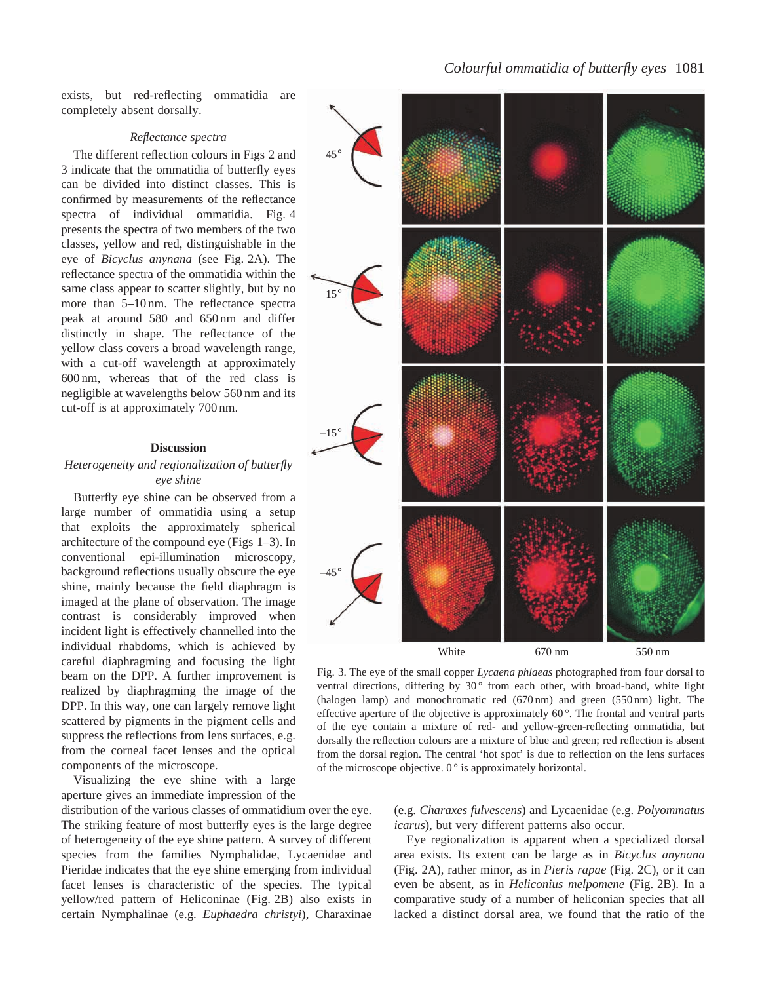exists, but red-reflecting ommatidia are completely absent dorsally.

### *Reflectance spectra*

The different reflection colours in Figs 2 and 3 indicate that the ommatidia of butterfly eyes can be divided into distinct classes. This is confirmed by measurements of the reflectance spectra of individual ommatidia. Fig. 4 presents the spectra of two members of the two classes, yellow and red, distinguishable in the eye of *Bicyclus anynana* (see Fig. 2A). The reflectance spectra of the ommatidia within the same class appear to scatter slightly, but by no more than 5–10 nm. The reflectance spectra peak at around 580 and 650 nm and differ distinctly in shape. The reflectance of the yellow class covers a broad wavelength range, with a cut-off wavelength at approximately 600 nm, whereas that of the red class is negligible at wavelengths below 560 nm and its cut-off is at approximately 700 nm.

### **Discussion**

## *Heterogeneity and regionalization of butterfly eye shine*

Butterfly eye shine can be observed from a large number of ommatidia using a setup that exploits the approximately spherical architecture of the compound eye (Figs 1–3). In conventional epi-illumination microscopy, background reflections usually obscure the eye shine, mainly because the field diaphragm is imaged at the plane of observation. The image contrast is considerably improved when incident light is effectively channelled into the individual rhabdoms, which is achieved by careful diaphragming and focusing the light beam on the DPP. A further improvement is realized by diaphragming the image of the DPP. In this way, one can largely remove light scattered by pigments in the pigment cells and suppress the reflections from lens surfaces, e.g. from the corneal facet lenses and the optical components of the microscope.

Visualizing the eye shine with a large aperture gives an immediate impression of the

distribution of the various classes of ommatidium over the eye. The striking feature of most butterfly eyes is the large degree of heterogeneity of the eye shine pattern. A survey of different species from the families Nymphalidae, Lycaenidae and Pieridae indicates that the eye shine emerging from individual facet lenses is characteristic of the species. The typical yellow/red pattern of Heliconinae (Fig. 2B) also exists in certain Nymphalinae (e.g. *Euphaedra christyi*), Charaxinae

## *Colourful ommatidia of butterfly eyes* 1081



Fig. 3. The eye of the small copper *Lycaena phlaeas* photographed from four dorsal to ventral directions, differing by 30° from each other, with broad-band, white light (halogen lamp) and monochromatic red (670 nm) and green (550 nm) light. The effective aperture of the objective is approximately  $60^\circ$ . The frontal and ventral parts of the eye contain a mixture of red- and yellow-green-reflecting ommatidia, but dorsally the reflection colours are a mixture of blue and green; red reflection is absent from the dorsal region. The central 'hot spot' is due to reflection on the lens surfaces of the microscope objective.  $0^{\circ}$  is approximately horizontal.

(e.g. *Charaxes fulvescens*) and Lycaenidae (e.g. *Polyommatus icarus*), but very different patterns also occur.

Eye regionalization is apparent when a specialized dorsal area exists. Its extent can be large as in *Bicyclus anynana* (Fig. 2A), rather minor, as in *Pieris rapae* (Fig. 2C), or it can even be absent, as in *Heliconius melpomene* (Fig. 2B). In a comparative study of a number of heliconian species that all lacked a distinct dorsal area, we found that the ratio of the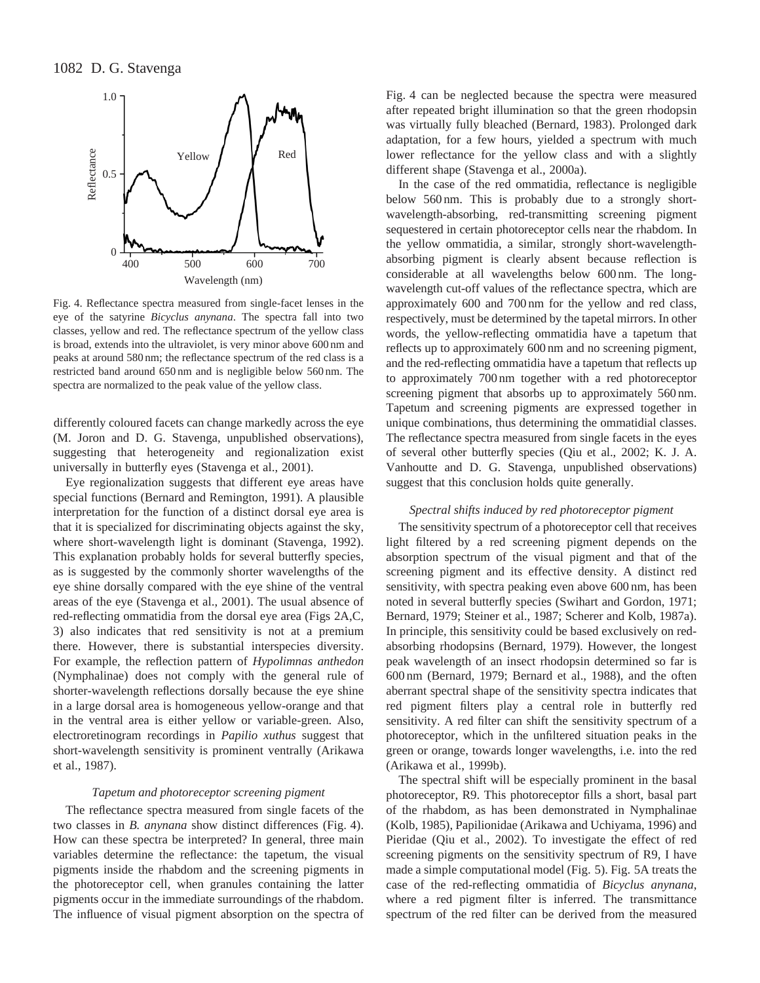

Fig. 4. Reflectance spectra measured from single-facet lenses in the eye of the satyrine *Bicyclus anynana*. The spectra fall into two classes, yellow and red. The reflectance spectrum of the yellow class is broad, extends into the ultraviolet, is very minor above 600 nm and peaks at around 580 nm; the reflectance spectrum of the red class is a restricted band around 650 nm and is negligible below 560 nm. The spectra are normalized to the peak value of the yellow class.

differently coloured facets can change markedly across the eye (M. Joron and D. G. Stavenga, unpublished observations), suggesting that heterogeneity and regionalization exist universally in butterfly eyes (Stavenga et al., 2001).

Eye regionalization suggests that different eye areas have special functions (Bernard and Remington, 1991). A plausible interpretation for the function of a distinct dorsal eye area is that it is specialized for discriminating objects against the sky, where short-wavelength light is dominant (Stavenga, 1992). This explanation probably holds for several butterfly species, as is suggested by the commonly shorter wavelengths of the eye shine dorsally compared with the eye shine of the ventral areas of the eye (Stavenga et al., 2001). The usual absence of red-reflecting ommatidia from the dorsal eye area (Figs 2A,C, 3) also indicates that red sensitivity is not at a premium there. However, there is substantial interspecies diversity. For example, the reflection pattern of *Hypolimnas anthedon* (Nymphalinae) does not comply with the general rule of shorter-wavelength reflections dorsally because the eye shine in a large dorsal area is homogeneous yellow-orange and that in the ventral area is either yellow or variable-green. Also, electroretinogram recordings in *Papilio xuthus* suggest that short-wavelength sensitivity is prominent ventrally (Arikawa et al., 1987).

#### *Tapetum and photoreceptor screening pigment*

The reflectance spectra measured from single facets of the two classes in *B. anynana* show distinct differences (Fig. 4). How can these spectra be interpreted? In general, three main variables determine the reflectance: the tapetum, the visual pigments inside the rhabdom and the screening pigments in the photoreceptor cell, when granules containing the latter pigments occur in the immediate surroundings of the rhabdom. The influence of visual pigment absorption on the spectra of Fig. 4 can be neglected because the spectra were measured after repeated bright illumination so that the green rhodopsin was virtually fully bleached (Bernard, 1983). Prolonged dark adaptation, for a few hours, yielded a spectrum with much lower reflectance for the yellow class and with a slightly different shape (Stavenga et al., 2000a).

In the case of the red ommatidia, reflectance is negligible below 560 nm. This is probably due to a strongly shortwavelength-absorbing, red-transmitting screening pigment sequestered in certain photoreceptor cells near the rhabdom. In the yellow ommatidia, a similar, strongly short-wavelengthabsorbing pigment is clearly absent because reflection is considerable at all wavelengths below 600 nm. The longwavelength cut-off values of the reflectance spectra, which are approximately 600 and 700 nm for the yellow and red class, respectively, must be determined by the tapetal mirrors. In other words, the yellow-reflecting ommatidia have a tapetum that reflects up to approximately 600 nm and no screening pigment, and the red-reflecting ommatidia have a tapetum that reflects up to approximately 700 nm together with a red photoreceptor screening pigment that absorbs up to approximately 560 nm. Tapetum and screening pigments are expressed together in unique combinations, thus determining the ommatidial classes. The reflectance spectra measured from single facets in the eyes of several other butterfly species (Qiu et al., 2002; K. J. A. Vanhoutte and D. G. Stavenga, unpublished observations) suggest that this conclusion holds quite generally.

### *Spectral shifts induced by red photoreceptor pigment*

The sensitivity spectrum of a photoreceptor cell that receives light filtered by a red screening pigment depends on the absorption spectrum of the visual pigment and that of the screening pigment and its effective density. A distinct red sensitivity, with spectra peaking even above 600 nm, has been noted in several butterfly species (Swihart and Gordon, 1971; Bernard, 1979; Steiner et al., 1987; Scherer and Kolb, 1987a). In principle, this sensitivity could be based exclusively on redabsorbing rhodopsins (Bernard, 1979). However, the longest peak wavelength of an insect rhodopsin determined so far is 600 nm (Bernard, 1979; Bernard et al., 1988), and the often aberrant spectral shape of the sensitivity spectra indicates that red pigment filters play a central role in butterfly red sensitivity. A red filter can shift the sensitivity spectrum of a photoreceptor, which in the unfiltered situation peaks in the green or orange, towards longer wavelengths, i.e. into the red (Arikawa et al., 1999b).

The spectral shift will be especially prominent in the basal photoreceptor, R9. This photoreceptor fills a short, basal part of the rhabdom, as has been demonstrated in Nymphalinae (Kolb, 1985), Papilionidae (Arikawa and Uchiyama, 1996) and Pieridae (Qiu et al., 2002). To investigate the effect of red screening pigments on the sensitivity spectrum of R9, I have made a simple computational model (Fig. 5). Fig. 5A treats the case of the red-reflecting ommatidia of *Bicyclus anynana*, where a red pigment filter is inferred. The transmittance spectrum of the red filter can be derived from the measured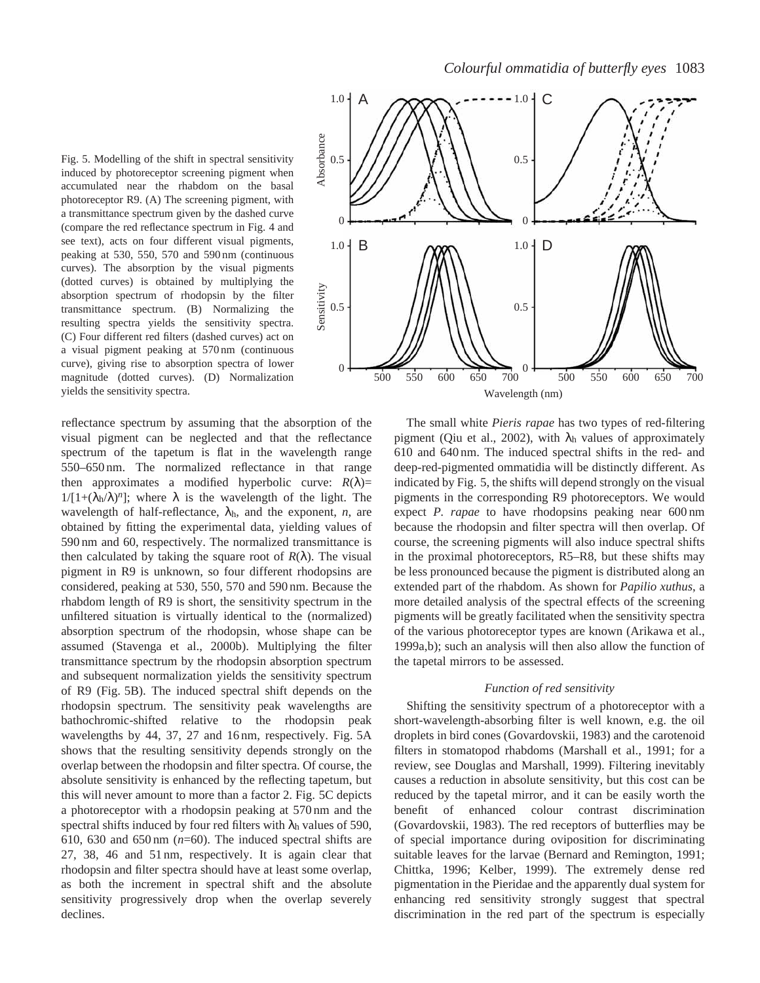Fig. 5. Modelling of the shift in spectral sensitivity induced by photoreceptor screening pigment when accumulated near the rhabdom on the basal photoreceptor R9. (A) The screening pigment, with a transmittance spectrum given by the dashed curve (compare the red reflectance spectrum in Fig. 4 and see text), acts on four different visual pigments, peaking at 530, 550, 570 and 590 nm (continuous curves). The absorption by the visual pigments (dotted curves) is obtained by multiplying the absorption spectrum of rhodopsin by the filter transmittance spectrum. (B) Normalizing the resulting spectra yields the sensitivity spectra. (C) Four different red filters (dashed curves) act on a visual pigment peaking at 570 nm (continuous curve), giving rise to absorption spectra of lower magnitude (dotted curves). (D) Normalization yields the sensitivity spectra.

reflectance spectrum by assuming that the absorption of the visual pigment can be neglected and that the reflectance spectrum of the tapetum is flat in the wavelength range 550–650 nm. The normalized reflectance in that range then approximates a modified hyperbolic curve:  $R(\lambda)$ =  $1/[1+(\lambda_h/\lambda)^n]$ ; where  $\lambda$  is the wavelength of the light. The wavelength of half-reflectance,  $\lambda_h$ , and the exponent, *n*, are obtained by fitting the experimental data, yielding values of 590 nm and 60, respectively. The normalized transmittance is then calculated by taking the square root of  $R(\lambda)$ . The visual pigment in R9 is unknown, so four different rhodopsins are considered, peaking at 530, 550, 570 and 590 nm. Because the rhabdom length of R9 is short, the sensitivity spectrum in the unfiltered situation is virtually identical to the (normalized) absorption spectrum of the rhodopsin, whose shape can be assumed (Stavenga et al., 2000b). Multiplying the filter transmittance spectrum by the rhodopsin absorption spectrum and subsequent normalization yields the sensitivity spectrum of R9 (Fig. 5B). The induced spectral shift depends on the rhodopsin spectrum. The sensitivity peak wavelengths are bathochromic-shifted relative to the rhodopsin peak wavelengths by 44, 37, 27 and 16 nm, respectively. Fig. 5A shows that the resulting sensitivity depends strongly on the overlap between the rhodopsin and filter spectra. Of course, the absolute sensitivity is enhanced by the reflecting tapetum, but this will never amount to more than a factor 2. Fig. 5C depicts a photoreceptor with a rhodopsin peaking at 570 nm and the spectral shifts induced by four red filters with  $\lambda_h$  values of 590, 610, 630 and 650 nm  $(n=60)$ . The induced spectral shifts are 27, 38, 46 and 51 nm, respectively. It is again clear that rhodopsin and filter spectra should have at least some overlap, as both the increment in spectral shift and the absolute sensitivity progressively drop when the overlap severely declines.



The small white *Pieris rapae* has two types of red-filtering pigment (Qiu et al., 2002), with  $\lambda$ <sub>h</sub> values of approximately 610 and 640 nm. The induced spectral shifts in the red- and deep-red-pigmented ommatidia will be distinctly different. As indicated by Fig. 5, the shifts will depend strongly on the visual pigments in the corresponding R9 photoreceptors. We would expect *P. rapae* to have rhodopsins peaking near 600 nm because the rhodopsin and filter spectra will then overlap. Of course, the screening pigments will also induce spectral shifts in the proximal photoreceptors, R5–R8, but these shifts may be less pronounced because the pigment is distributed along an extended part of the rhabdom. As shown for *Papilio xuthus*, a more detailed analysis of the spectral effects of the screening pigments will be greatly facilitated when the sensitivity spectra of the various photoreceptor types are known (Arikawa et al., 1999a,b); such an analysis will then also allow the function of the tapetal mirrors to be assessed.

#### *Function of red sensitivity*

Shifting the sensitivity spectrum of a photoreceptor with a short-wavelength-absorbing filter is well known, e.g. the oil droplets in bird cones (Govardovskii, 1983) and the carotenoid filters in stomatopod rhabdoms (Marshall et al., 1991; for a review, see Douglas and Marshall, 1999). Filtering inevitably causes a reduction in absolute sensitivity, but this cost can be reduced by the tapetal mirror, and it can be easily worth the benefit of enhanced colour contrast discrimination (Govardovskii, 1983). The red receptors of butterflies may be of special importance during oviposition for discriminating suitable leaves for the larvae (Bernard and Remington, 1991; Chittka, 1996; Kelber, 1999). The extremely dense red pigmentation in the Pieridae and the apparently dual system for enhancing red sensitivity strongly suggest that spectral discrimination in the red part of the spectrum is especially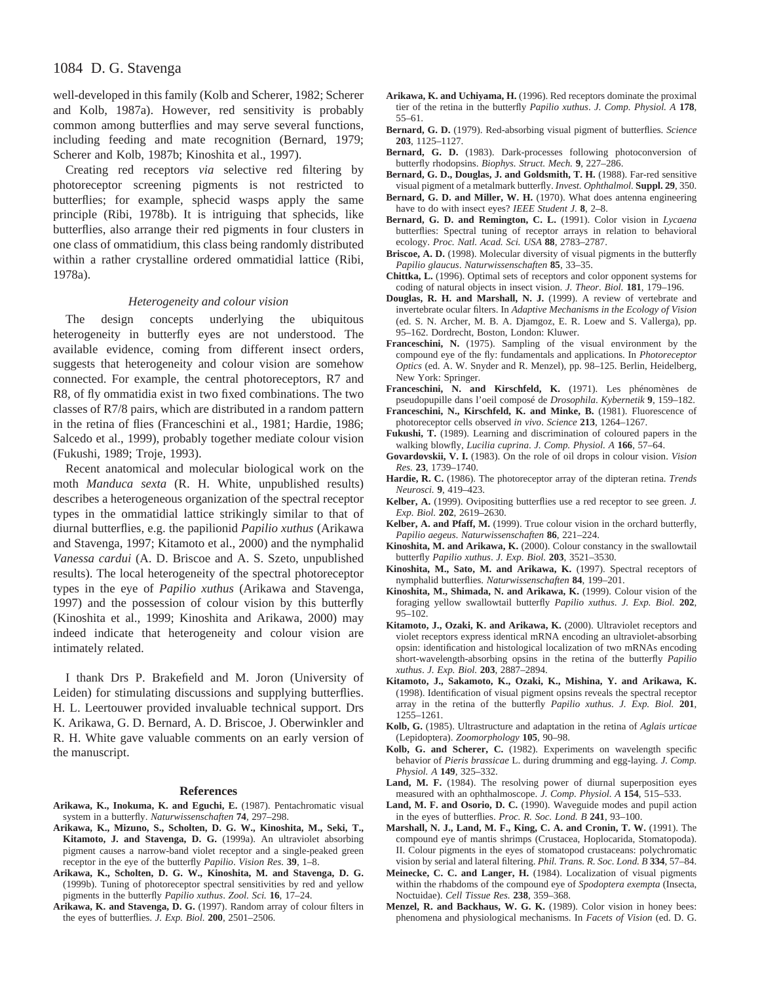## 1084 D. G. Stavenga

well-developed in this family (Kolb and Scherer, 1982; Scherer and Kolb, 1987a). However, red sensitivity is probably common among butterflies and may serve several functions, including feeding and mate recognition (Bernard, 1979; Scherer and Kolb, 1987b; Kinoshita et al., 1997).

Creating red receptors *via* selective red filtering by photoreceptor screening pigments is not restricted to butterflies; for example, sphecid wasps apply the same principle (Ribi, 1978b). It is intriguing that sphecids, like butterflies, also arrange their red pigments in four clusters in one class of ommatidium, this class being randomly distributed within a rather crystalline ordered ommatidial lattice (Ribi, 1978a).

#### *Heterogeneity and colour vision*

The design concepts underlying the ubiquitous heterogeneity in butterfly eyes are not understood. The available evidence, coming from different insect orders, suggests that heterogeneity and colour vision are somehow connected. For example, the central photoreceptors, R7 and R8, of fly ommatidia exist in two fixed combinations. The two classes of R7/8 pairs, which are distributed in a random pattern in the retina of flies (Franceschini et al., 1981; Hardie, 1986; Salcedo et al., 1999), probably together mediate colour vision (Fukushi, 1989; Troje, 1993).

Recent anatomical and molecular biological work on the moth *Manduca sexta* (R. H. White, unpublished results) describes a heterogeneous organization of the spectral receptor types in the ommatidial lattice strikingly similar to that of diurnal butterflies, e.g. the papilionid *Papilio xuthus* (Arikawa and Stavenga, 1997; Kitamoto et al., 2000) and the nymphalid *Vanessa cardui* (A. D. Briscoe and A. S. Szeto, unpublished results). The local heterogeneity of the spectral photoreceptor types in the eye of *Papilio xuthus* (Arikawa and Stavenga, 1997) and the possession of colour vision by this butterfly (Kinoshita et al., 1999; Kinoshita and Arikawa, 2000) may indeed indicate that heterogeneity and colour vision are intimately related.

I thank Drs P. Brakefield and M. Joron (University of Leiden) for stimulating discussions and supplying butterflies. H. L. Leertouwer provided invaluable technical support. Drs K. Arikawa, G. D. Bernard, A. D. Briscoe, J. Oberwinkler and R. H. White gave valuable comments on an early version of the manuscript.

#### **References**

- **Arikawa, K., Inokuma, K. and Eguchi, E.** (1987). Pentachromatic visual system in a butterfly. *Naturwissenschaften* **74**, 297–298.
- **Arikawa, K., Mizuno, S., Scholten, D. G. W., Kinoshita, M., Seki, T., Kitamoto, J. and Stavenga, D. G.** (1999a). An ultraviolet absorbing pigment causes a narrow-band violet receptor and a single-peaked green receptor in the eye of the butterfly *Papilio*. *Vision Res.* **39**, 1–8.
- **Arikawa, K., Scholten, D. G. W., Kinoshita, M. and Stavenga, D. G.** (1999b). Tuning of photoreceptor spectral sensitivities by red and yellow pigments in the butterfly *Papilio xuthus*. *Zool. Sci.* **16**, 17–24.
- **Arikawa, K. and Stavenga, D. G.** (1997). Random array of colour filters in the eyes of butterflies. *J. Exp. Biol.* **200**, 2501–2506.
- **Arikawa, K. and Uchiyama, H.** (1996). Red receptors dominate the proximal tier of the retina in the butterfly *Papilio xuthus*. *J. Comp. Physiol. A* **178**, 55–61.
- **Bernard, G. D.** (1979). Red-absorbing visual pigment of butterflies. *Science* **203**, 1125–1127.
- **Bernard, G. D.** (1983). Dark-processes following photoconversion of butterfly rhodopsins. *Biophys. Struct. Mech.* **9**, 227–286.
- **Bernard, G. D., Douglas, J. and Goldsmith, T. H.** (1988). Far-red sensitive visual pigment of a metalmark butterfly. *Invest. Ophthalmol.* **Suppl. 29**, 350.
- **Bernard, G. D. and Miller, W. H.** (1970). What does antenna engineering have to do with insect eyes? *IEEE Student J.* **8**, 2–8.
- **Bernard, G. D. and Remington, C. L.** (1991). Color vision in *Lycaena* butterflies: Spectral tuning of receptor arrays in relation to behavioral ecology. *Proc. Natl. Acad. Sci. USA* **88**, 2783–2787.
- **Briscoe, A. D.** (1998). Molecular diversity of visual pigments in the butterfly *Papilio glaucus*. *Naturwissenschaften* **85**, 33–35.
- **Chittka, L.** (1996). Optimal sets of receptors and color opponent systems for coding of natural objects in insect vision. *J. Theor. Biol.* **181**, 179–196.
- **Douglas, R. H. and Marshall, N. J.** (1999). A review of vertebrate and invertebrate ocular filters. In *Adaptive Mechanisms in the Ecology of Vision* (ed. S. N. Archer, M. B. A. Djamgoz, E. R. Loew and S. Vallerga), pp. 95–162. Dordrecht, Boston, London: Kluwer.
- **Franceschini, N.** (1975). Sampling of the visual environment by the compound eye of the fly: fundamentals and applications. In *Photoreceptor Optics* (ed. A. W. Snyder and R. Menzel), pp. 98–125. Berlin, Heidelberg, New York: Springer.
- **Franceschini, N. and Kirschfeld, K.** (1971). Les phénomènes de pseudopupille dans l'oeil composé de *Drosophila*. *Kybernetik* **9**, 159–182.
- **Franceschini, N., Kirschfeld, K. and Minke, B.** (1981). Fluorescence of photoreceptor cells observed *in vivo*. *Science* **213**, 1264–1267.
- **Fukushi, T.** (1989). Learning and discrimination of coloured papers in the walking blowfly, *Lucilia cuprina*. *J. Comp. Physiol. A* **166**, 57–64.
- **Govardovskii, V. I.** (1983). On the role of oil drops in colour vision. *Vision Res.* **23**, 1739–1740.
- **Hardie, R. C.** (1986). The photoreceptor array of the dipteran retina. *Trends Neurosci.* **9**, 419–423.
- **Kelber, A.** (1999). Ovipositing butterflies use a red receptor to see green. *J. Exp. Biol.* **202**, 2619–2630.
- **Kelber, A. and Pfaff, M.** (1999). True colour vision in the orchard butterfly, *Papilio aegeus*. *Naturwissenschaften* **86**, 221–224.
- **Kinoshita, M. and Arikawa, K.** (2000). Colour constancy in the swallowtail butterfly *Papilio xuthus*. *J. Exp. Biol.* **203**, 3521–3530.
- **Kinoshita, M., Sato, M. and Arikawa, K.** (1997). Spectral receptors of nymphalid butterflies. *Naturwissenschaften* **84**, 199–201.
- **Kinoshita, M., Shimada, N. and Arikawa, K.** (1999). Colour vision of the foraging yellow swallowtail butterfly *Papilio xuthus*. *J. Exp. Biol.* **202**, 95–102.
- **Kitamoto, J., Ozaki, K. and Arikawa, K.** (2000). Ultraviolet receptors and violet receptors express identical mRNA encoding an ultraviolet-absorbing opsin: identification and histological localization of two mRNAs encoding short-wavelength-absorbing opsins in the retina of the butterfly *Papilio xuthus*. *J. Exp. Biol.* **203**, 2887–2894.
- **Kitamoto, J., Sakamoto, K., Ozaki, K., Mishina, Y. and Arikawa, K.** (1998). Identification of visual pigment opsins reveals the spectral receptor array in the retina of the butterfly *Papilio xuthus*. *J. Exp. Biol.* **201**, 1255–1261.
- **Kolb, G.** (1985). Ultrastructure and adaptation in the retina of *Aglais urticae* (Lepidoptera). *Zoomorphology* **105**, 90–98.
- **Kolb, G. and Scherer, C.** (1982). Experiments on wavelength specific behavior of *Pieris brassicae* L. during drumming and egg-laying. *J. Comp. Physiol. A* **149**, 325–332.
- Land, M. F. (1984). The resolving power of diurnal superposition eyes measured with an ophthalmoscope. *J. Comp. Physiol. A* **154**, 515–533.
- **Land, M. F. and Osorio, D. C.** (1990). Waveguide modes and pupil action in the eyes of butterflies. *Proc. R. Soc. Lond. B* **241**, 93–100.
- **Marshall, N. J., Land, M. F., King, C. A. and Cronin, T. W.** (1991). The compound eye of mantis shrimps (Crustacea, Hoplocarida, Stomatopoda). II. Colour pigments in the eyes of stomatopod crustaceans: polychromatic vision by serial and lateral filtering. *Phil. Trans. R. Soc. Lond. B* **334**, 57–84.
- **Meinecke, C. C. and Langer, H.** (1984). Localization of visual pigments within the rhabdoms of the compound eye of *Spodoptera exempta* (Insecta, Noctuidae). *Cell Tissue Res.* **238**, 359–368.
- **Menzel, R. and Backhaus, W. G. K.** (1989). Color vision in honey bees: phenomena and physiological mechanisms. In *Facets of Vision* (ed. D. G.